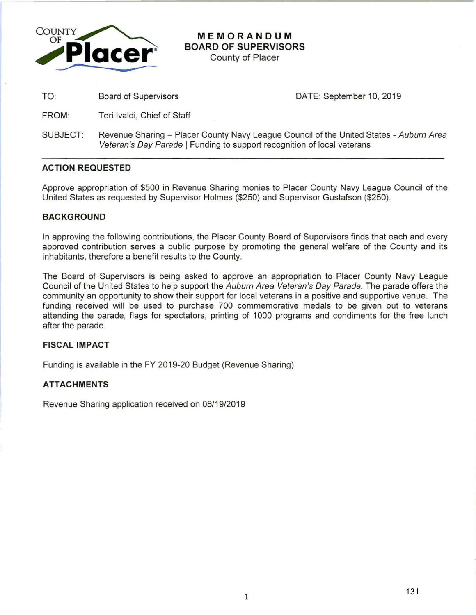

# **MEMORANDUM BOARD OF SUPERVISORS**

County of Placer

TO: Board of Supervisors

DATE: September 10, 2019

FROM: Teri lvaldi, Chief of Staff

SUBJECT: Revenue Sharing - Placer County Navy League Council of the United States - Auburn Area Veteran's Day Parade | Funding to support recognition of local veterans

# **ACTION REQUESTED**

Approve appropriation of \$500 in Revenue Sharing monies to Placer County Navy League Council of the United States as requested by Supervisor Holmes (\$250) and Supervisor Gustafson (\$250).

## **BACKGROUND**

In approving the following contributions, the Placer County Board of Supervisors finds that each and every approved contribution serves a public purpose by promoting the general welfare of the County and its inhabitants, therefore a benefit results to the County.

The Board of Supervisors is being asked to approve an appropriation to Placer County Navy League Council of the United States to help support the Auburn Area Veteran's Day Parade. The parade offers the community an opportunity to show their support for local veterans in a positive and supportive venue. The funding received will be used to purchase 700 commemorative medals to be given out to veterans attending the parade, flags for spectators, printing of 1000 programs and condiments for the free lunch after the parade.

#### **FISCAL IMPACT**

Funding is available in the FY 2019-20 Budget (Revenue Sharing)

### **ATTACHMENTS**

Revenue Sharing application received on 08/19/2019